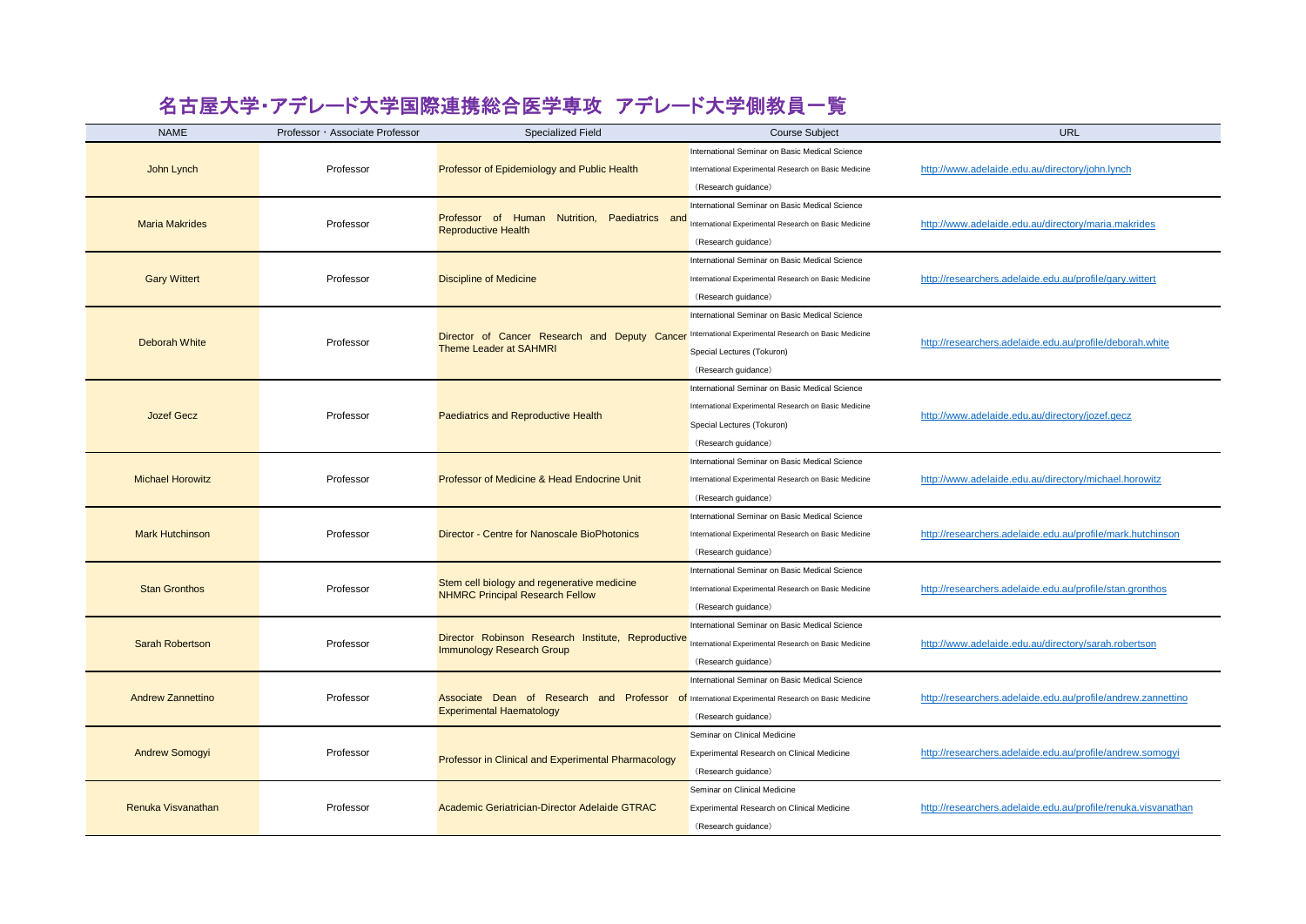## 名古屋大学・アデレード大学国際連携総合医学専攻 アデレード大学側教員一覧

| <b>NAME</b>              | Professor · Associate Professor | <b>Specialized Field</b>                                                                                                             | <b>Course Subject</b>                                 | URL                                                           |
|--------------------------|---------------------------------|--------------------------------------------------------------------------------------------------------------------------------------|-------------------------------------------------------|---------------------------------------------------------------|
| John Lynch               |                                 | Professor of Epidemiology and Public Health                                                                                          | International Seminar on Basic Medical Science        | http://www.adelaide.edu.au/directory/john.lynch               |
|                          | Professor                       |                                                                                                                                      | International Experimental Research on Basic Medicine |                                                               |
|                          |                                 |                                                                                                                                      | (Research guidance)                                   |                                                               |
| <b>Maria Makrides</b>    | Professor                       | Paediatrics and<br>Professor of Human Nutrition,<br><b>Reproductive Health</b>                                                       | International Seminar on Basic Medical Science        | http://www.adelaide.edu.au/directory/maria.makrides           |
|                          |                                 |                                                                                                                                      | International Experimental Research on Basic Medicine |                                                               |
|                          |                                 |                                                                                                                                      | (Research guidance)                                   |                                                               |
| <b>Gary Wittert</b>      | Professor                       | <b>Discipline of Medicine</b>                                                                                                        | International Seminar on Basic Medical Science        | http://researchers.adelaide.edu.au/profile/gary.wittert       |
|                          |                                 |                                                                                                                                      | International Experimental Research on Basic Medicine |                                                               |
|                          |                                 |                                                                                                                                      | (Research guidance)                                   |                                                               |
|                          | Professor                       | Director of Cancer Research and Deputy Cancer<br><b>Theme Leader at SAHMRI</b>                                                       | International Seminar on Basic Medical Science        | http://researchers.adelaide.edu.au/profile/deborah.white      |
|                          |                                 |                                                                                                                                      | International Experimental Research on Basic Medicine |                                                               |
| <b>Deborah White</b>     |                                 |                                                                                                                                      | Special Lectures (Tokuron)                            |                                                               |
|                          |                                 |                                                                                                                                      | (Research guidance)                                   |                                                               |
|                          |                                 | <b>Paediatrics and Reproductive Health</b>                                                                                           | International Seminar on Basic Medical Science        | http://www.adelaide.edu.au/directory/jozef.gecz               |
|                          |                                 |                                                                                                                                      | International Experimental Research on Basic Medicine |                                                               |
| <b>Jozef Gecz</b>        | Professor                       |                                                                                                                                      | Special Lectures (Tokuron)                            |                                                               |
|                          |                                 |                                                                                                                                      | (Research guidance)                                   |                                                               |
|                          | Professor                       | Professor of Medicine & Head Endocrine Unit                                                                                          | International Seminar on Basic Medical Science        | http://www.adelaide.edu.au/directory/michael.horowitz         |
| <b>Michael Horowitz</b>  |                                 |                                                                                                                                      | International Experimental Research on Basic Medicine |                                                               |
|                          |                                 |                                                                                                                                      | (Research guidance)                                   |                                                               |
|                          |                                 |                                                                                                                                      | International Seminar on Basic Medical Science        |                                                               |
| <b>Mark Hutchinson</b>   | Professor                       | Director - Centre for Nanoscale BioPhotonics                                                                                         | International Experimental Research on Basic Medicine | http://researchers.adelaide.edu.au/profile/mark.hutchinson    |
|                          |                                 |                                                                                                                                      | (Research guidance)                                   |                                                               |
|                          | Professor                       | Stem cell biology and regenerative medicine<br><b>NHMRC Principal Research Fellow</b>                                                | International Seminar on Basic Medical Science        |                                                               |
| <b>Stan Gronthos</b>     |                                 |                                                                                                                                      | International Experimental Research on Basic Medicine | http://researchers.adelaide.edu.au/profile/stan.gronthos      |
|                          |                                 |                                                                                                                                      | (Research guidance)                                   |                                                               |
|                          | Professor                       | Director Robinson Research Institute, Reproductive<br><b>Immunology Research Group</b>                                               | International Seminar on Basic Medical Science        |                                                               |
| <b>Sarah Robertson</b>   |                                 |                                                                                                                                      | International Experimental Research on Basic Medicine | http://www.adelaide.edu.au/directory/sarah.robertson          |
|                          |                                 |                                                                                                                                      | (Research guidance)                                   |                                                               |
| <b>Andrew Zannettino</b> | Professor                       | Associate Dean of Research and Professor of International Experimental Research on Basic Medicine<br><b>Experimental Haematology</b> | International Seminar on Basic Medical Science        |                                                               |
|                          |                                 |                                                                                                                                      |                                                       | http://researchers.adelaide.edu.au/profile/andrew.zannettino  |
|                          |                                 |                                                                                                                                      | (Research guidance)                                   |                                                               |
| <b>Andrew Somogyi</b>    | Professor                       | Professor in Clinical and Experimental Pharmacology                                                                                  | Seminar on Clinical Medicine                          |                                                               |
|                          |                                 |                                                                                                                                      | <b>Experimental Research on Clinical Medicine</b>     | http://researchers.adelaide.edu.au/profile/andrew.somogyi     |
|                          |                                 |                                                                                                                                      | (Research guidance)                                   |                                                               |
| Renuka Visvanathan       |                                 | Academic Geriatrician-Director Adelaide GTRAC                                                                                        | Seminar on Clinical Medicine                          |                                                               |
|                          | Professor                       |                                                                                                                                      | Experimental Research on Clinical Medicine            | http://researchers.adelaide.edu.au/profile/renuka.visvanathan |
|                          |                                 |                                                                                                                                      | (Research guidance)                                   |                                                               |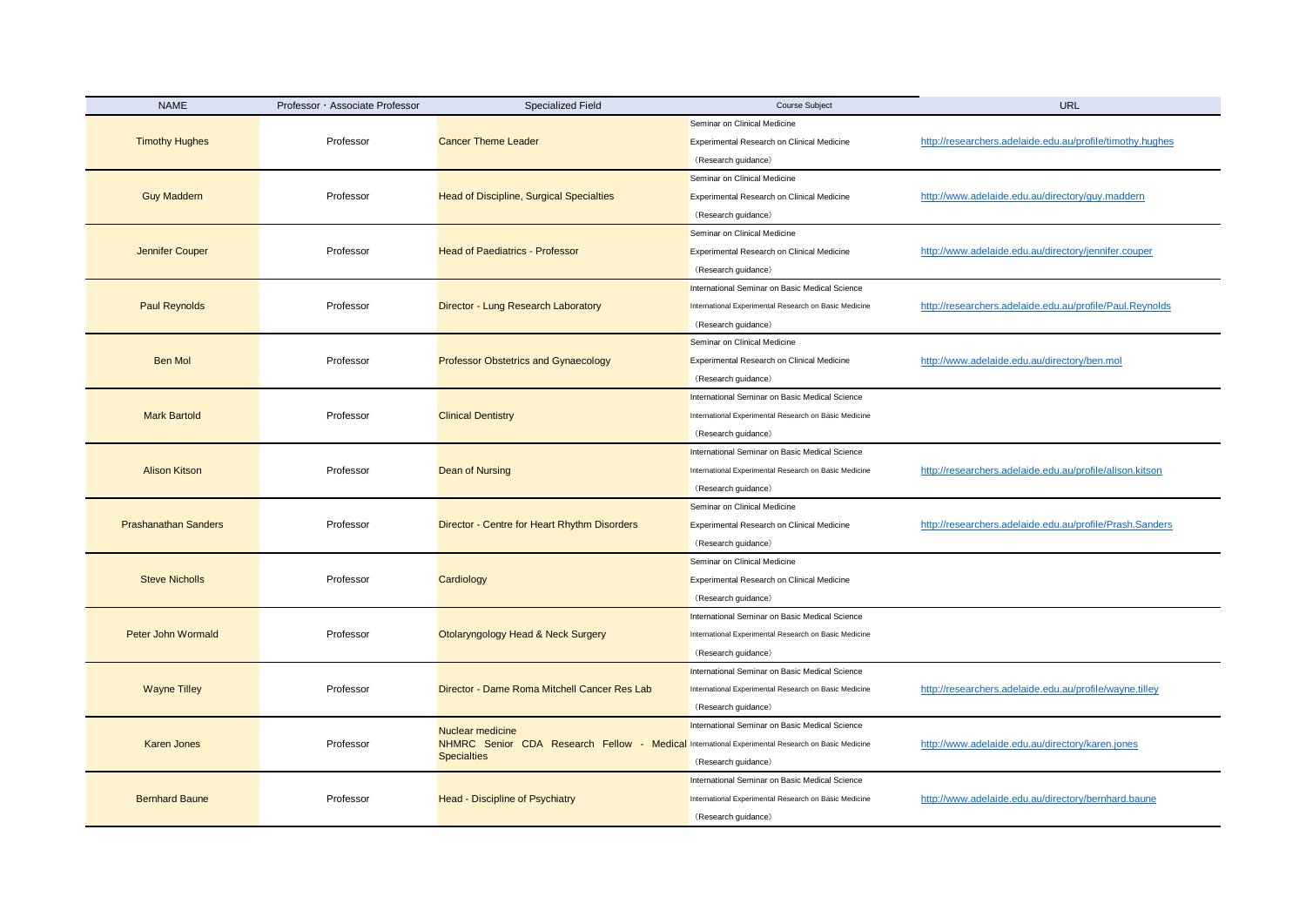| <b>NAME</b>                 | Professor · Associate Professor | Specialized Field                                                                                                                                 | <b>Course Subject</b>                                 | <b>URL</b>                                                |
|-----------------------------|---------------------------------|---------------------------------------------------------------------------------------------------------------------------------------------------|-------------------------------------------------------|-----------------------------------------------------------|
| <b>Timothy Hughes</b>       |                                 | <b>Cancer Theme Leader</b>                                                                                                                        | Seminar on Clinical Medicine                          |                                                           |
|                             | Professor                       |                                                                                                                                                   | Experimental Research on Clinical Medicine            | http://researchers.adelaide.edu.au/profile/timothy.hughes |
|                             |                                 |                                                                                                                                                   | (Research guidance)                                   |                                                           |
|                             |                                 | <b>Head of Discipline, Surgical Specialties</b>                                                                                                   | Seminar on Clinical Medicine                          |                                                           |
| <b>Guy Maddern</b>          | Professor                       |                                                                                                                                                   | Experimental Research on Clinical Medicine            | http://www.adelaide.edu.au/directory/guy.maddern          |
|                             |                                 |                                                                                                                                                   | (Research guidance)                                   |                                                           |
| Jennifer Couper             | Professor                       | <b>Head of Paediatrics - Professor</b>                                                                                                            | Seminar on Clinical Medicine                          |                                                           |
|                             |                                 |                                                                                                                                                   | Experimental Research on Clinical Medicine            | http://www.adelaide.edu.au/directory/jennifer.couper      |
|                             |                                 |                                                                                                                                                   | (Research guidance)                                   |                                                           |
|                             |                                 |                                                                                                                                                   | International Seminar on Basic Medical Science        |                                                           |
| <b>Paul Reynolds</b>        | Professor                       | Director - Lung Research Laboratory                                                                                                               | International Experimental Research on Basic Medicine | http://researchers.adelaide.edu.au/profile/Paul.Reynolds  |
|                             |                                 |                                                                                                                                                   | (Research guidance)                                   |                                                           |
|                             |                                 | <b>Professor Obstetrics and Gynaecology</b>                                                                                                       | Seminar on Clinical Medicine                          |                                                           |
| <b>Ben Mol</b>              | Professor                       |                                                                                                                                                   | Experimental Research on Clinical Medicine            | http://www.adelaide.edu.au/directory/ben.mol              |
|                             |                                 |                                                                                                                                                   | (Research guidance)                                   |                                                           |
|                             | Professor                       | <b>Clinical Dentistry</b>                                                                                                                         | International Seminar on Basic Medical Science        |                                                           |
| <b>Mark Bartold</b>         |                                 |                                                                                                                                                   | International Experimental Research on Basic Medicine |                                                           |
|                             |                                 |                                                                                                                                                   | (Research guidance)                                   |                                                           |
|                             |                                 |                                                                                                                                                   | International Seminar on Basic Medical Science        |                                                           |
| <b>Alison Kitson</b>        | Professor                       | Dean of Nursing                                                                                                                                   | International Experimental Research on Basic Medicine | http://researchers.adelaide.edu.au/profile/alison.kitson  |
|                             |                                 |                                                                                                                                                   | (Research guidance)                                   |                                                           |
|                             | Professor                       | Director - Centre for Heart Rhythm Disorders                                                                                                      | Seminar on Clinical Medicine                          |                                                           |
| <b>Prashanathan Sanders</b> |                                 |                                                                                                                                                   | Experimental Research on Clinical Medicine            | http://researchers.adelaide.edu.au/profile/Prash.Sanders  |
|                             |                                 |                                                                                                                                                   | (Research guidance)                                   |                                                           |
|                             | Professor                       | Cardiology                                                                                                                                        | Seminar on Clinical Medicine                          |                                                           |
| <b>Steve Nicholls</b>       |                                 |                                                                                                                                                   | Experimental Research on Clinical Medicine            |                                                           |
|                             |                                 |                                                                                                                                                   | (Research guidance)                                   |                                                           |
|                             |                                 |                                                                                                                                                   | International Seminar on Basic Medical Science        |                                                           |
| Peter John Wormald          | Professor                       | Otolaryngology Head & Neck Surgery                                                                                                                | International Experimental Research on Basic Medicine |                                                           |
|                             |                                 |                                                                                                                                                   | (Research guidance)                                   |                                                           |
|                             |                                 |                                                                                                                                                   | International Seminar on Basic Medical Science        |                                                           |
| <b>Wayne Tilley</b>         | Professor                       | Director - Dame Roma Mitchell Cancer Res Lab                                                                                                      | International Experimental Research on Basic Medicine | http://researchers.adelaide.edu.au/profile/wayne.tilley   |
|                             |                                 |                                                                                                                                                   | (Research guidance)                                   |                                                           |
| <b>Karen Jones</b>          | Professor                       | <b>Nuclear medicine</b><br>NHMRC Senior CDA Research Fellow - Medical International Experimental Research on Basic Medicine<br><b>Specialties</b> | International Seminar on Basic Medical Science        |                                                           |
|                             |                                 |                                                                                                                                                   |                                                       | http://www.adelaide.edu.au/directory/karen.jones          |
|                             |                                 |                                                                                                                                                   | (Research guidance)                                   |                                                           |
| <b>Bernhard Baune</b>       | Professor                       | Head - Discipline of Psychiatry                                                                                                                   | International Seminar on Basic Medical Science        |                                                           |
|                             |                                 |                                                                                                                                                   | International Experimental Research on Basic Medicine | http://www.adelaide.edu.au/directory/bernhard.baune       |
|                             |                                 |                                                                                                                                                   | (Research guidance)                                   |                                                           |